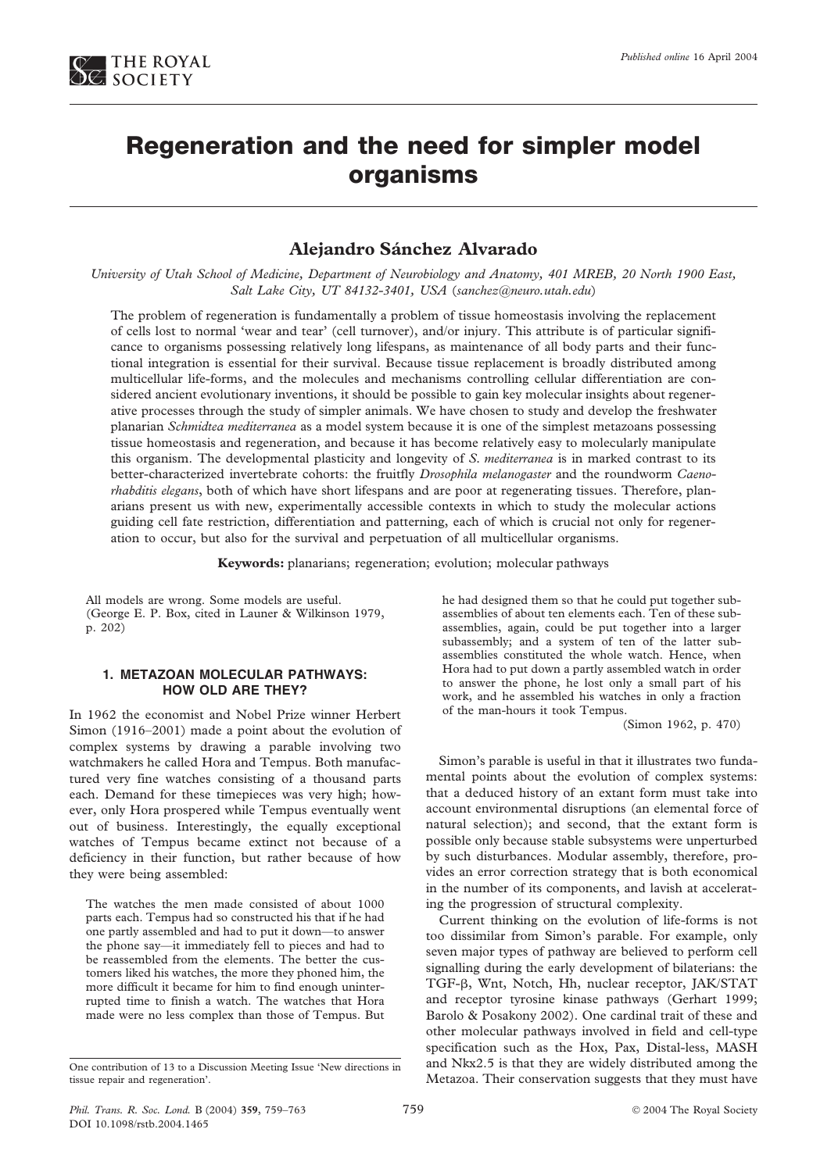# **Regeneration and the need for simpler model organisms**

## **Alejandro Sánchez Alvarado**

*University of Utah School of Medicine, Department of Neurobiology and Anatomy, 401 MREB, 20 North 1900 East, Salt Lake City, UT 84132-3401, USA* (*sanchez@neuro.utah.edu*)

The problem of regeneration is fundamentally a problem of tissue homeostasis involving the replacement of cells lost to normal 'wear and tear' (cell turnover), and/or injury. This attribute is of particular significance to organisms possessing relatively long lifespans, as maintenance of all body parts and their functional integration is essential for their survival. Because tissue replacement is broadly distributed among multicellular life-forms, and the molecules and mechanisms controlling cellular differentiation are considered ancient evolutionary inventions, it should be possible to gain key molecular insights about regenerative processes through the study of simpler animals. We have chosen to study and develop the freshwater planarian *Schmidtea mediterranea* as a model system because it is one of the simplest metazoans possessing tissue homeostasis and regeneration, and because it has become relatively easy to molecularly manipulate this organism. The developmental plasticity and longevity of *S. mediterranea* is in marked contrast to its better-characterized invertebrate cohorts: the fruitfly *Drosophila melanogaster* and the roundworm *Caenorhabditis elegans*, both of which have short lifespans and are poor at regenerating tissues. Therefore, planarians present us with new, experimentally accessible contexts in which to study the molecular actions guiding cell fate restriction, differentiation and patterning, each of which is crucial not only for regeneration to occur, but also for the survival and perpetuation of all multicellular organisms.

**Keywords:** planarians; regeneration; evolution; molecular pathways

All models are wrong. Some models are useful. (George E. P. Box, cited in Launer & Wilkinson 1979, p. 202)

## **1. METAZOAN MOLECULAR PATHWAYS: HOW OLD ARE THEY?**

In 1962 the economist and Nobel Prize winner Herbert Simon (1916–2001) made a point about the evolution of complex systems by drawing a parable involving two watchmakers he called Hora and Tempus. Both manufactured very fine watches consisting of a thousand parts each. Demand for these timepieces was very high; however, only Hora prospered while Tempus eventually went out of business. Interestingly, the equally exceptional watches of Tempus became extinct not because of a deficiency in their function, but rather because of how they were being assembled:

The watches the men made consisted of about 1000 parts each. Tempus had so constructed his that if he had one partly assembled and had to put it down—to answer the phone say—it immediately fell to pieces and had to be reassembled from the elements. The better the customers liked his watches, the more they phoned him, the more difficult it became for him to find enough uninterrupted time to finish a watch. The watches that Hora made were no less complex than those of Tempus. But he had designed them so that he could put together subassemblies of about ten elements each. Ten of these subassemblies, again, could be put together into a larger subassembly; and a system of ten of the latter subassemblies constituted the whole watch. Hence, when Hora had to put down a partly assembled watch in order to answer the phone, he lost only a small part of his work, and he assembled his watches in only a fraction of the man-hours it took Tempus.

(Simon 1962, p. 470)

Simon's parable is useful in that it illustrates two fundamental points about the evolution of complex systems: that a deduced history of an extant form must take into account environmental disruptions (an elemental force of natural selection); and second, that the extant form is possible only because stable subsystems were unperturbed by such disturbances. Modular assembly, therefore, provides an error correction strategy that is both economical in the number of its components, and lavish at accelerating the progression of structural complexity.

Current thinking on the evolution of life-forms is not too dissimilar from Simon's parable. For example, only seven major types of pathway are believed to perform cell signalling during the early development of bilaterians: the TGF- $\beta$ , Wnt, Notch, Hh, nuclear receptor, JAK/STAT and receptor tyrosine kinase pathways (Gerhart 1999; Barolo & Posakony 2002). One cardinal trait of these and other molecular pathways involved in field and cell-type specification such as the Hox, Pax, Distal-less, MASH and Nkx2.5 is that they are widely distributed among the Metazoa. Their conservation suggests that they must have

One contribution of 13 to a Discussion Meeting Issue 'New directions in tissue repair and regeneration'.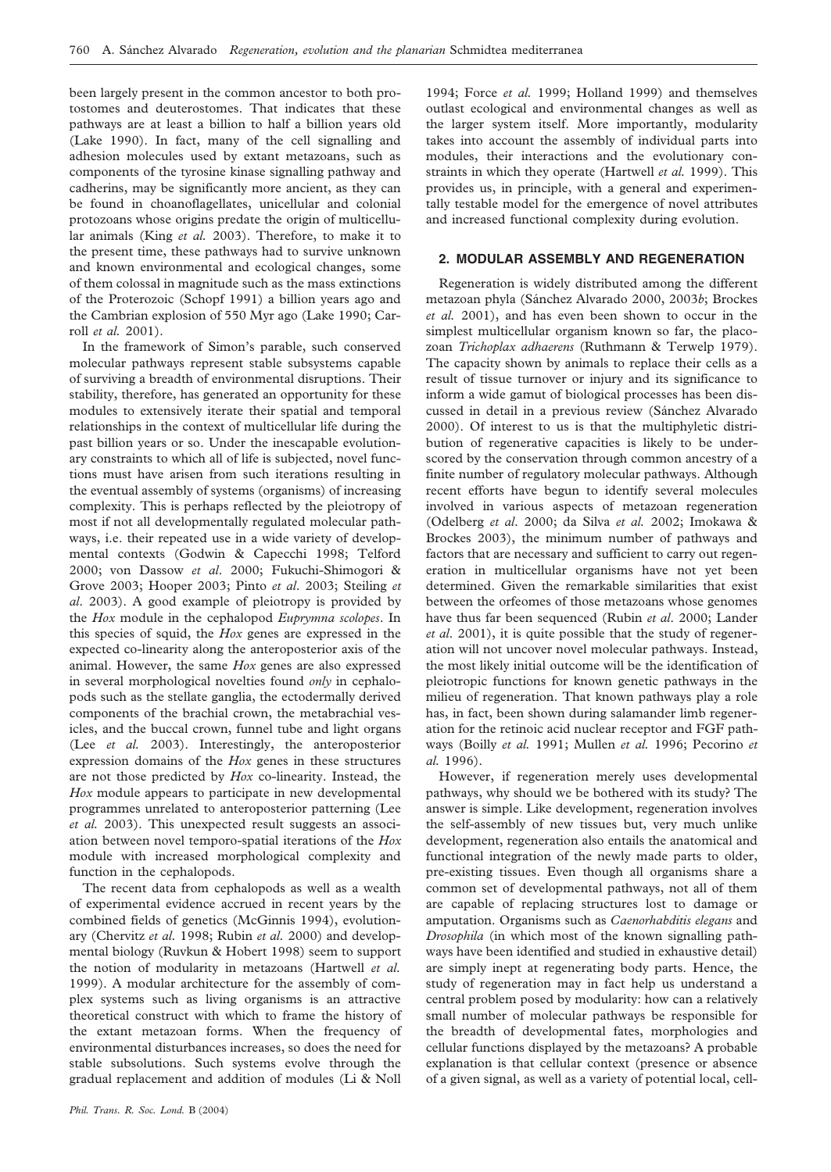been largely present in the common ancestor to both protostomes and deuterostomes. That indicates that these pathways are at least a billion to half a billion years old (Lake 1990). In fact, many of the cell signalling and adhesion molecules used by extant metazoans, such as components of the tyrosine kinase signalling pathway and cadherins, may be significantly more ancient, as they can be found in choanoflagellates, unicellular and colonial protozoans whose origins predate the origin of multicellular animals (King *et al.* 2003). Therefore, to make it to the present time, these pathways had to survive unknown and known environmental and ecological changes, some of them colossal in magnitude such as the mass extinctions of the Proterozoic (Schopf 1991) a billion years ago and the Cambrian explosion of 550 Myr ago (Lake 1990; Carroll *et al.* 2001).

In the framework of Simon's parable, such conserved molecular pathways represent stable subsystems capable of surviving a breadth of environmental disruptions. Their stability, therefore, has generated an opportunity for these modules to extensively iterate their spatial and temporal relationships in the context of multicellular life during the past billion years or so. Under the inescapable evolutionary constraints to which all of life is subjected, novel functions must have arisen from such iterations resulting in the eventual assembly of systems (organisms) of increasing complexity. This is perhaps reflected by the pleiotropy of most if not all developmentally regulated molecular pathways, i.e. their repeated use in a wide variety of developmental contexts (Godwin & Capecchi 1998; Telford 2000; von Dassow *et al*. 2000; Fukuchi-Shimogori & Grove 2003; Hooper 2003; Pinto *et al*. 2003; Steiling *et al*. 2003). A good example of pleiotropy is provided by the *Hox* module in the cephalopod *Euprymna scolopes*. In this species of squid, the *Hox* genes are expressed in the expected co-linearity along the anteroposterior axis of the animal. However, the same *Hox* genes are also expressed in several morphological novelties found *only* in cephalopods such as the stellate ganglia, the ectodermally derived components of the brachial crown, the metabrachial vesicles, and the buccal crown, funnel tube and light organs (Lee *et al.* 2003). Interestingly, the anteroposterior expression domains of the *Hox* genes in these structures are not those predicted by *Hox* co-linearity. Instead, the *Hox* module appears to participate in new developmental programmes unrelated to anteroposterior patterning (Lee *et al.* 2003). This unexpected result suggests an association between novel temporo-spatial iterations of the *Hox* module with increased morphological complexity and function in the cephalopods.

The recent data from cephalopods as well as a wealth of experimental evidence accrued in recent years by the combined fields of genetics (McGinnis 1994), evolutionary (Chervitz *et al.* 1998; Rubin *et al.* 2000) and developmental biology (Ruvkun & Hobert 1998) seem to support the notion of modularity in metazoans (Hartwell *et al.* 1999). A modular architecture for the assembly of complex systems such as living organisms is an attractive theoretical construct with which to frame the history of the extant metazoan forms. When the frequency of environmental disturbances increases, so does the need for stable subsolutions. Such systems evolve through the gradual replacement and addition of modules (Li & Noll

*Phil. Trans. R. Soc. Lond.* B (2004)

1994; Force *et al.* 1999; Holland 1999) and themselves outlast ecological and environmental changes as well as the larger system itself. More importantly, modularity takes into account the assembly of individual parts into modules, their interactions and the evolutionary constraints in which they operate (Hartwell *et al.* 1999). This provides us, in principle, with a general and experimentally testable model for the emergence of novel attributes and increased functional complexity during evolution.

### **2. MODULAR ASSEMBLY AND REGENERATION**

Regeneration is widely distributed among the different metazoan phyla (Sánchez Alvarado 2000, 2003b; Brockes *et al.* 2001), and has even been shown to occur in the simplest multicellular organism known so far, the placozoan *Trichoplax adhaerens* (Ruthmann & Terwelp 1979). The capacity shown by animals to replace their cells as a result of tissue turnover or injury and its significance to inform a wide gamut of biological processes has been discussed in detail in a previous review (Sánchez Alvarado 2000). Of interest to us is that the multiphyletic distribution of regenerative capacities is likely to be underscored by the conservation through common ancestry of a finite number of regulatory molecular pathways. Although recent efforts have begun to identify several molecules involved in various aspects of metazoan regeneration (Odelberg *et al*. 2000; da Silva *et al.* 2002; Imokawa & Brockes 2003), the minimum number of pathways and factors that are necessary and sufficient to carry out regeneration in multicellular organisms have not yet been determined. Given the remarkable similarities that exist between the orfeomes of those metazoans whose genomes have thus far been sequenced (Rubin *et al*. 2000; Lander *et al*. 2001), it is quite possible that the study of regeneration will not uncover novel molecular pathways. Instead, the most likely initial outcome will be the identification of pleiotropic functions for known genetic pathways in the milieu of regeneration. That known pathways play a role has, in fact, been shown during salamander limb regeneration for the retinoic acid nuclear receptor and FGF pathways (Boilly *et al.* 1991; Mullen *et al.* 1996; Pecorino *et al.* 1996).

However, if regeneration merely uses developmental pathways, why should we be bothered with its study? The answer is simple. Like development, regeneration involves the self-assembly of new tissues but, very much unlike development, regeneration also entails the anatomical and functional integration of the newly made parts to older, pre-existing tissues. Even though all organisms share a common set of developmental pathways, not all of them are capable of replacing structures lost to damage or amputation. Organisms such as *Caenorhabditis elegans* and *Drosophila* (in which most of the known signalling pathways have been identified and studied in exhaustive detail) are simply inept at regenerating body parts. Hence, the study of regeneration may in fact help us understand a central problem posed by modularity: how can a relatively small number of molecular pathways be responsible for the breadth of developmental fates, morphologies and cellular functions displayed by the metazoans? A probable explanation is that cellular context (presence or absence of a given signal, as well as a variety of potential local, cell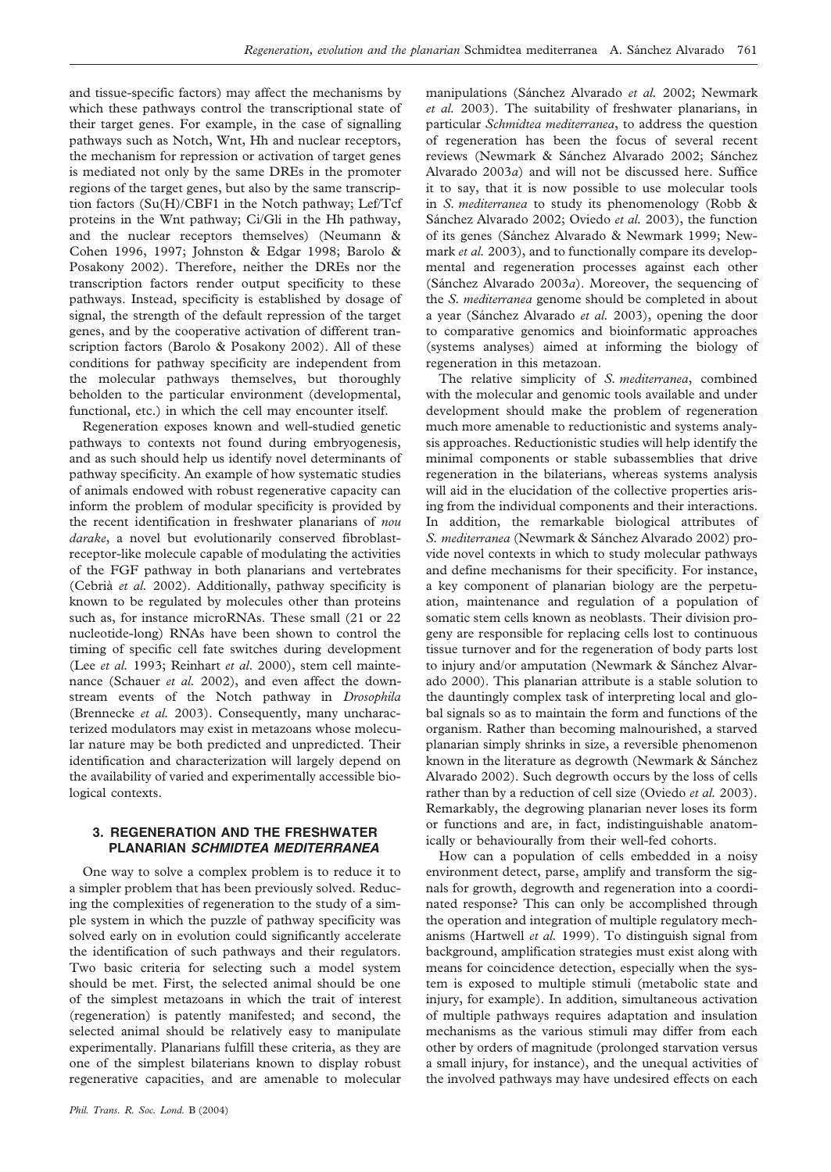and tissue-specific factors) may affect the mechanisms by which these pathways control the transcriptional state of their target genes. For example, in the case of signalling pathways such as Notch, Wnt, Hh and nuclear receptors, the mechanism for repression or activation of target genes is mediated not only by the same DREs in the promoter regions of the target genes, but also by the same transcription factors (Su(H)/CBF1 in the Notch pathway; Lef/Tcf proteins in the Wnt pathway; Ci/Gli in the Hh pathway, and the nuclear receptors themselves) (Neumann & Cohen 1996, 1997; Johnston & Edgar 1998; Barolo & Posakony 2002). Therefore, neither the DREs nor the transcription factors render output specificity to these pathways. Instead, specificity is established by dosage of signal, the strength of the default repression of the target genes, and by the cooperative activation of different transcription factors (Barolo & Posakony 2002). All of these conditions for pathway specificity are independent from the molecular pathways themselves, but thoroughly beholden to the particular environment (developmental, functional, etc.) in which the cell may encounter itself.

Regeneration exposes known and well-studied genetic pathways to contexts not found during embryogenesis, and as such should help us identify novel determinants of pathway specificity. An example of how systematic studies of animals endowed with robust regenerative capacity can inform the problem of modular specificity is provided by the recent identification in freshwater planarians of *nou darake*, a novel but evolutionarily conserved fibroblastreceptor-like molecule capable of modulating the activities of the FGF pathway in both planarians and vertebrates (Cebrià et al. 2002). Additionally, pathway specificity is known to be regulated by molecules other than proteins such as, for instance microRNAs. These small (21 or 22 nucleotide-long) RNAs have been shown to control the timing of specific cell fate switches during development (Lee *et al.* 1993; Reinhart *et al*. 2000), stem cell maintenance (Schauer *et al.* 2002), and even affect the downstream events of the Notch pathway in *Drosophila* (Brennecke *et al.* 2003). Consequently, many uncharacterized modulators may exist in metazoans whose molecular nature may be both predicted and unpredicted. Their identification and characterization will largely depend on the availability of varied and experimentally accessible biological contexts.

## **3. REGENERATION AND THE FRESHWATER PLANARIAN** *SCHMIDTEA MEDITERRANEA*

One way to solve a complex problem is to reduce it to a simpler problem that has been previously solved. Reducing the complexities of regeneration to the study of a simple system in which the puzzle of pathway specificity was solved early on in evolution could significantly accelerate the identification of such pathways and their regulators. Two basic criteria for selecting such a model system should be met. First, the selected animal should be one of the simplest metazoans in which the trait of interest (regeneration) is patently manifested; and second, the selected animal should be relatively easy to manipulate experimentally. Planarians fulfill these criteria, as they are one of the simplest bilaterians known to display robust regenerative capacities, and are amenable to molecular

manipulations (Sánchez Alvarado et al. 2002; Newmark *et al.* 2003). The suitability of freshwater planarians, in particular *Schmidtea mediterranea*, to address the question of regeneration has been the focus of several recent reviews (Newmark & Sánchez Alvarado 2002; Sánchez Alvarado 2003*a*) and will not be discussed here. Suffice it to say, that it is now possible to use molecular tools in *S. mediterranea* to study its phenomenology (Robb & Sánchez Alvarado 2002; Oviedo et al. 2003), the function of its genes (Sánchez Alvarado & Newmark 1999; Newmark *et al.* 2003), and to functionally compare its developmental and regeneration processes against each other (Sánchez Alvarado 2003*a*). Moreover, the sequencing of the *S. mediterranea* genome should be completed in about a year (Sánchez Alvarado et al. 2003), opening the door to comparative genomics and bioinformatic approaches (systems analyses) aimed at informing the biology of regeneration in this metazoan.

The relative simplicity of *S. mediterranea*, combined with the molecular and genomic tools available and under development should make the problem of regeneration much more amenable to reductionistic and systems analysis approaches. Reductionistic studies will help identify the minimal components or stable subassemblies that drive regeneration in the bilaterians, whereas systems analysis will aid in the elucidation of the collective properties arising from the individual components and their interactions. In addition, the remarkable biological attributes of *S. mediterranea* (Newmark & Sánchez Alvarado 2002) provide novel contexts in which to study molecular pathways and define mechanisms for their specificity. For instance, a key component of planarian biology are the perpetuation, maintenance and regulation of a population of somatic stem cells known as neoblasts. Their division progeny are responsible for replacing cells lost to continuous tissue turnover and for the regeneration of body parts lost to injury and/or amputation (Newmark & Sánchez Alvarado 2000). This planarian attribute is a stable solution to the dauntingly complex task of interpreting local and global signals so as to maintain the form and functions of the organism. Rather than becoming malnourished, a starved planarian simply shrinks in size, a reversible phenomenon known in the literature as degrowth (Newmark & Sánchez Alvarado 2002). Such degrowth occurs by the loss of cells rather than by a reduction of cell size (Oviedo *et al.* 2003). Remarkably, the degrowing planarian never loses its form or functions and are, in fact, indistinguishable anatomically or behaviourally from their well-fed cohorts.

How can a population of cells embedded in a noisy environment detect, parse, amplify and transform the signals for growth, degrowth and regeneration into a coordinated response? This can only be accomplished through the operation and integration of multiple regulatory mechanisms (Hartwell *et al.* 1999). To distinguish signal from background, amplification strategies must exist along with means for coincidence detection, especially when the system is exposed to multiple stimuli (metabolic state and injury, for example). In addition, simultaneous activation of multiple pathways requires adaptation and insulation mechanisms as the various stimuli may differ from each other by orders of magnitude (prolonged starvation versus a small injury, for instance), and the unequal activities of the involved pathways may have undesired effects on each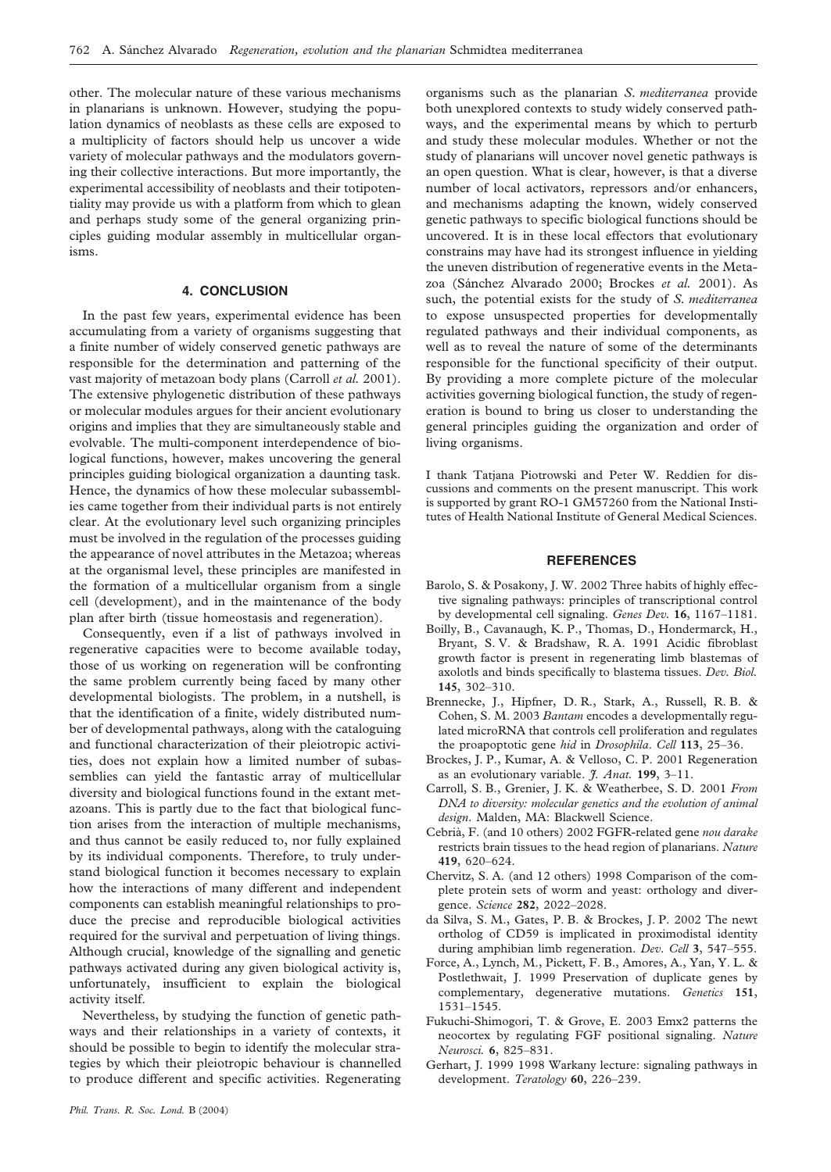other. The molecular nature of these various mechanisms in planarians is unknown. However, studying the population dynamics of neoblasts as these cells are exposed to a multiplicity of factors should help us uncover a wide variety of molecular pathways and the modulators governing their collective interactions. But more importantly, the experimental accessibility of neoblasts and their totipotentiality may provide us with a platform from which to glean and perhaps study some of the general organizing principles guiding modular assembly in multicellular organisms.

## **4. CONCLUSION**

In the past few years, experimental evidence has been accumulating from a variety of organisms suggesting that a finite number of widely conserved genetic pathways are responsible for the determination and patterning of the vast majority of metazoan body plans (Carroll *et al.* 2001). The extensive phylogenetic distribution of these pathways or molecular modules argues for their ancient evolutionary origins and implies that they are simultaneously stable and evolvable. The multi-component interdependence of biological functions, however, makes uncovering the general principles guiding biological organization a daunting task. Hence, the dynamics of how these molecular subassemblies came together from their individual parts is not entirely clear. At the evolutionary level such organizing principles must be involved in the regulation of the processes guiding the appearance of novel attributes in the Metazoa; whereas at the organismal level, these principles are manifested in the formation of a multicellular organism from a single cell (development), and in the maintenance of the body plan after birth (tissue homeostasis and regeneration).

Consequently, even if a list of pathways involved in regenerative capacities were to become available today, those of us working on regeneration will be confronting the same problem currently being faced by many other developmental biologists. The problem, in a nutshell, is that the identification of a finite, widely distributed number of developmental pathways, along with the cataloguing and functional characterization of their pleiotropic activities, does not explain how a limited number of subassemblies can yield the fantastic array of multicellular diversity and biological functions found in the extant metazoans. This is partly due to the fact that biological function arises from the interaction of multiple mechanisms, and thus cannot be easily reduced to, nor fully explained by its individual components. Therefore, to truly understand biological function it becomes necessary to explain how the interactions of many different and independent components can establish meaningful relationships to produce the precise and reproducible biological activities required for the survival and perpetuation of living things. Although crucial, knowledge of the signalling and genetic pathways activated during any given biological activity is, unfortunately, insufficient to explain the biological activity itself.

Nevertheless, by studying the function of genetic pathways and their relationships in a variety of contexts, it should be possible to begin to identify the molecular strategies by which their pleiotropic behaviour is channelled to produce different and specific activities. Regenerating organisms such as the planarian *S. mediterranea* provide both unexplored contexts to study widely conserved pathways, and the experimental means by which to perturb and study these molecular modules. Whether or not the study of planarians will uncover novel genetic pathways is an open question. What is clear, however, is that a diverse number of local activators, repressors and/or enhancers, and mechanisms adapting the known, widely conserved genetic pathways to specific biological functions should be uncovered. It is in these local effectors that evolutionary constrains may have had its strongest influence in yielding the uneven distribution of regenerative events in the Metazoa (Sánchez Alvarado 2000; Brockes et al. 2001). As such, the potential exists for the study of *S. mediterranea* to expose unsuspected properties for developmentally regulated pathways and their individual components, as well as to reveal the nature of some of the determinants responsible for the functional specificity of their output. By providing a more complete picture of the molecular activities governing biological function, the study of regeneration is bound to bring us closer to understanding the general principles guiding the organization and order of living organisms.

I thank Tatjana Piotrowski and Peter W. Reddien for discussions and comments on the present manuscript. This work is supported by grant RO-1 GM57260 from the National Institutes of Health National Institute of General Medical Sciences.

### **REFERENCES**

- Barolo, S. & Posakony, J. W. 2002 Three habits of highly effective signaling pathways: principles of transcriptional control by developmental cell signaling. *Genes Dev.* **16**, 1167–1181.
- Boilly, B., Cavanaugh, K. P., Thomas, D., Hondermarck, H., Bryant, S. V. & Bradshaw, R. A. 1991 Acidic fibroblast growth factor is present in regenerating limb blastemas of axolotls and binds specifically to blastema tissues. *Dev. Biol.* **145**, 302–310.
- Brennecke, J., Hipfner, D. R., Stark, A., Russell, R. B. & Cohen, S. M. 2003 *Bantam* encodes a developmentally regulated microRNA that controls cell proliferation and regulates the proapoptotic gene *hid* in *Drosophila*. *Cell* **113**, 25–36.
- Brockes, J. P., Kumar, A. & Velloso, C. P. 2001 Regeneration as an evolutionary variable. *J. Anat.* **199**, 3–11.
- Carroll, S. B., Grenier, J. K. & Weatherbee, S. D. 2001 *From DNA to diversity: molecular genetics and the evolution of animal design*. Malden, MA: Blackwell Science.
- Cebria`, F. (and 10 others) 2002 FGFR-related gene *nou darake* restricts brain tissues to the head region of planarians. *Nature* **419**, 620–624.
- Chervitz, S. A. (and 12 others) 1998 Comparison of the complete protein sets of worm and yeast: orthology and divergence. *Science* **282**, 2022–2028.
- da Silva, S. M., Gates, P. B. & Brockes, J. P. 2002 The newt ortholog of CD59 is implicated in proximodistal identity during amphibian limb regeneration. *Dev. Cell* **3**, 547–555.
- Force, A., Lynch, M., Pickett, F. B., Amores, A., Yan, Y. L. & Postlethwait, J. 1999 Preservation of duplicate genes by complementary, degenerative mutations. *Genetics* **151**, 1531–1545.
- Fukuchi-Shimogori, T. & Grove, E. 2003 Emx2 patterns the neocortex by regulating FGF positional signaling. *Nature Neurosci.* **6**, 825–831.
- Gerhart, J. 1999 1998 Warkany lecture: signaling pathways in development. *Teratology* **60**, 226–239.